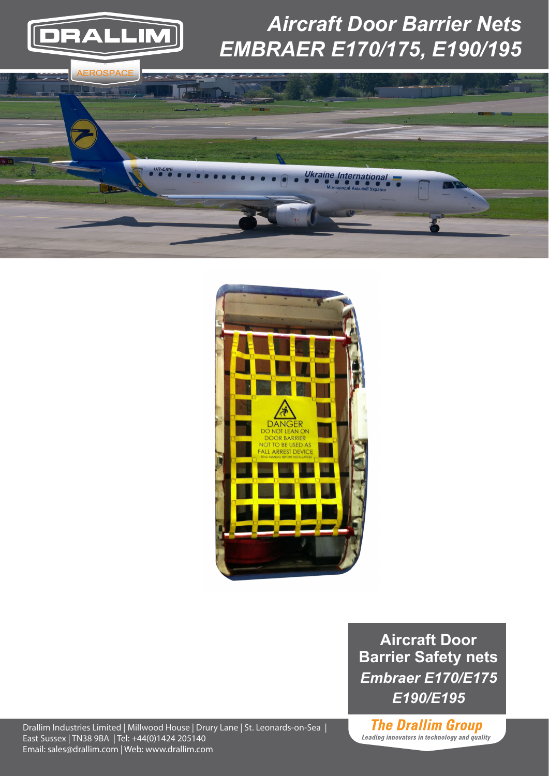

## *Aircraft Door Barrier Nets EMBRAER E170/175, E190/195*





**Aircraft Door Barrier Safety nets** *Embraer E170/E175 E190/E195*

Drallim Industries Limited | Millwood House | Drury Lane | St. Leonards-on-Sea | East Sussex | TN38 9BA | Tel: +44(0)1424 205140 Email: sales@drallim.com | Web: www.drallim.com

**The Drallim Group** Leading innovators in technology and quality